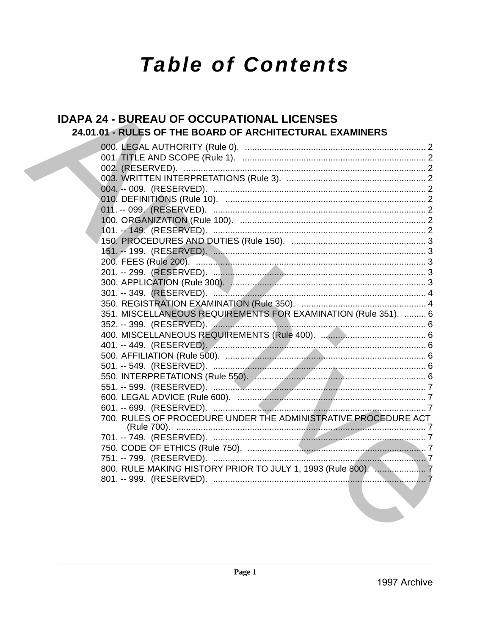# **Table of Contents**

### **IDAPA 24 - BUREAU OF OCCUPATIONAL LICENSES** 24.01.01 - RULES OF THE BOARD OF ARCHITECTURAL EXAMINERS

| 351. MISCELLANEOUS REQUIREMENTS FOR EXAMINATION (Rule 351).  6 |  |
|----------------------------------------------------------------|--|
|                                                                |  |
|                                                                |  |
|                                                                |  |
|                                                                |  |
|                                                                |  |
|                                                                |  |
|                                                                |  |
|                                                                |  |
|                                                                |  |
| 700. RULES OF PROCEDURE UNDER THE ADMINISTRATIVE PROCEDURE ACT |  |
|                                                                |  |
|                                                                |  |
|                                                                |  |
|                                                                |  |
|                                                                |  |
|                                                                |  |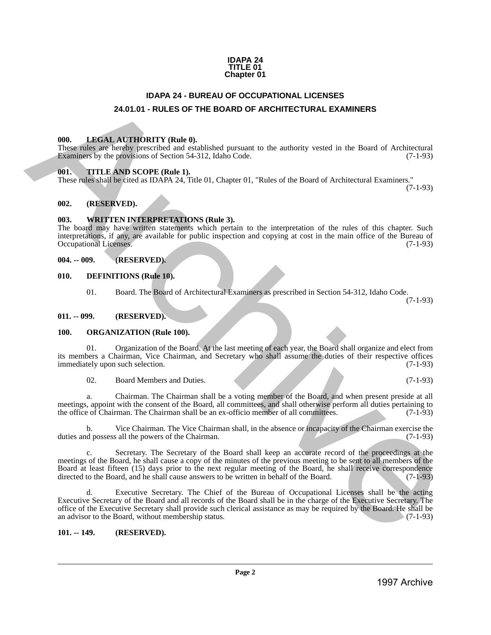#### **IDAPA 24 TITLE 01 Chapter 01**

### **IDAPA 24 - BUREAU OF OCCUPATIONAL LICENSES 24.01.01 - RULES OF THE BOARD OF ARCHITECTURAL EXAMINERS**

### <span id="page-1-2"></span><span id="page-1-1"></span>**000. LEGAL AUTHORITY (Rule 0).**

These rules are hereby prescribed and established pursuant to the authority vested in the Board of Architectural Examiners by the provisions of Section 54-312, Idaho Code. (7-1-93)

### <span id="page-1-3"></span>**001. TITLE AND SCOPE (Rule 1).**

These rules shall be cited as IDAPA 24, Title 01, Chapter 01, "Rules of the Board of Architectural Examiners."

### <span id="page-1-4"></span>**002. (RESERVED).**

### <span id="page-1-5"></span>**003. WRITTEN INTERPRETATIONS (Rule 3).**

The board may have written statements which pertain to the interpretation of the rules of this chapter. Such interpretations, if any, are available for public inspection and copying at cost in the main office of the Bureau of Occupational Licenses.

### <span id="page-1-6"></span>**004. -- 009. (RESERVED).**

### <span id="page-1-7"></span>**010. DEFINITIONS (Rule 10).**

01. Board. The Board of Architectural Examiners as prescribed in Section 54-312, Idaho Code.

(7-1-93)

(7-1-93)

#### <span id="page-1-8"></span>**011. -- 099. (RESERVED).**

### <span id="page-1-9"></span>**100. ORGANIZATION (Rule 100).**

01. Organization of the Board. At the last meeting of each year, the Board shall organize and elect from its members a Chairman, Vice Chairman, and Secretary who shall assume the duties of their respective offices immediately upon such selection.

02. Board Members and Duties. (7-1-93)

a. Chairman. The Chairman shall be a voting member of the Board, and when present preside at all meetings, appoint with the consent of the Board, all committees, and shall otherwise perform all duties pertaining to the office of Chairman. The Chairman shall be an ex-officio member of all committees. (7-1-93) the office of Chairman. The Chairman shall be an ex-officio member of all committees.

b. Vice Chairman. The Vice Chairman shall, in the absence or incapacity of the Chairman exercise the d possess all the powers of the Chairman. (7-1-93) duties and possess all the powers of the Chairman.

<span id="page-1-0"></span>Secretary. The Secretary of the Board shall keep an accurate record of the proceedings at the meetings of the Board, he shall cause a copy of the minutes of the previous meeting to be sent to all members of the Board at least fifteen (15) days prior to the next regular meeting of the Board, he shall receive correspondence directed to the Board, and he shall cause answers to be written in behalf of the Board. **24.0161.** IDAR-24.4 BUREAU OF COCURRENT COURSE CONTINUES INTO A CONSERVERS<br>
1998. LIMES LA TRIDORITY (Reds 0),<br>
These tasks are included and contained and contained and contained and contained and contained and contained

d. Executive Secretary. The Chief of the Bureau of Occupational Licenses shall be the acting Executive Secretary of the Board and all records of the Board shall be in the charge of the Executive Secretary. The office of the Executive Secretary shall provide such clerical assistance as may be required by the Board. He shall be an advisor to the Board, without membership status.

### <span id="page-1-10"></span>**101. -- 149. (RESERVED).**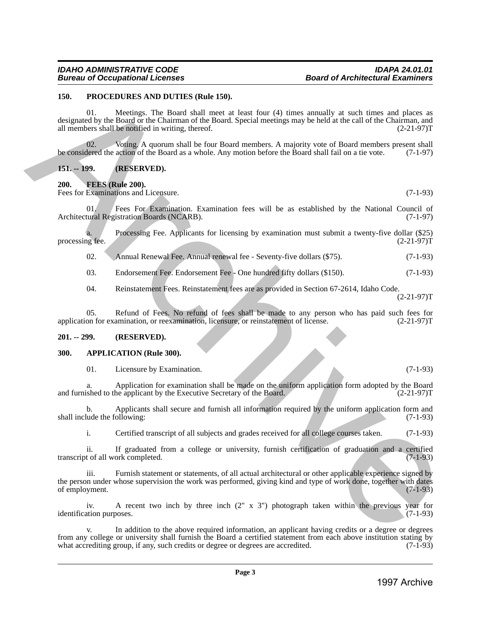### <span id="page-2-0"></span>**150. PROCEDURES AND DUTIES (Rule 150).**

01. Meetings. The Board shall meet at least four (4) times annually at such times and places as designated by the Board or the Chairman of the Board. Special meetings may be held at the call of the Chairman, and all members shall be notified in writing, thereof. (2-21-97)T

02. Voting. A quorum shall be four Board members. A majority vote of Board members present shall be considered the action of the Board as a whole. Any motion before the Board shall fail on a tie vote. (7-1-97)

### <span id="page-2-1"></span>**151. -- 199. (RESERVED).**

<span id="page-2-2"></span>**200. FEES (Rule 200).**

Fees for Examinations and Licensure. (7-1-93)

01. Fees For Examination. Examination fees will be as established by the National Council of tural Registration Boards (NCARB). Architectural Registration Boards (NCARB).

a. Processing Fee. Applicants for licensing by examination must submit a twenty-five dollar (\$25) processing fee. (2-21-97)T

02. Annual Renewal Fee. Annual renewal fee - Seventy-five dollars (\$75). (7-1-93)

03. Endorsement Fee. Endorsement Fee - One hundred fifty dollars (\$150). (7-1-93)

04. Reinstatement Fees. Reinstatement fees are as provided in Section 67-2614, Idaho Code.

(2-21-97)T

05. Refund of Fees. No refund of fees shall be made to any person who has paid such fees for on for examination, or reexamination, licensure, or reinstatement of license. (2-21-97) application for examination, or reexamination, licensure, or reinstatement of license.

### <span id="page-2-3"></span>**201. -- 299. (RESERVED).**

#### <span id="page-2-4"></span>**300. APPLICATION (Rule 300).**

01. Licensure by Examination. (7-1-93)

a. Application for examination shall be made on the uniform application form adopted by the Board shall be made on the uniform application form adopted by the Board (2-21-97) and furnished to the applicant by the Executive Secretary of the Board.

b. Applicants shall secure and furnish all information required by the uniform application form and ude the following:  $(7-1-93)$ shall include the following:

i. Certified transcript of all subjects and grades received for all college courses taken. (7-1-93)

ii. If graduated from a college or university, furnish certification of graduation and a certified transcript of all work completed.

Furnish statement or statements, of all actual architectural or other applicable experience signed by the person under whose supervision the work was performed, giving kind and type of work done, together with dates of employment. (7-1-93) of employment. 199. PROCEDUMES AND DV THEST (Real of the state of the state of the state of the state of the state of the state of the state of the state of the state of the state of the state of the state of the state of the state of t

iv. A recent two inch by three inch  $(2'' \times 3'')$  photograph taken within the previous year for ation purposes.  $(7-1-93)$ identification purposes.

v. In addition to the above required information, an applicant having credits or a degree or degrees from any college or university shall furnish the Board a certified statement from each above institution stating by what accrediting group, if any, such credits or degree or degrees are accredited. (7-1-93) what accrediting group, if any, such credits or degree or degrees are accredited.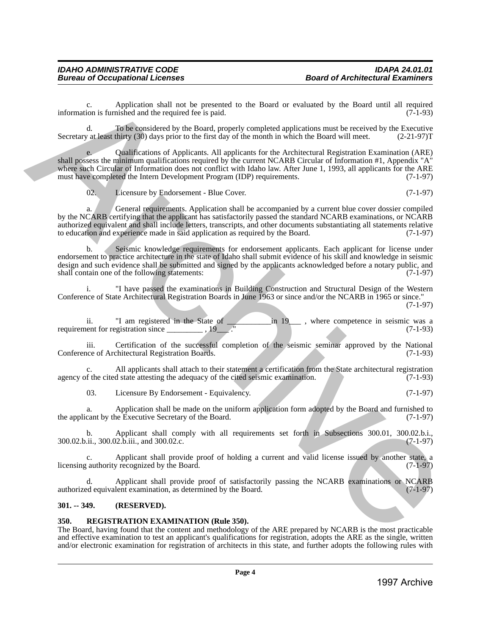c. Application shall not be presented to the Board or evaluated by the Board until all required ion is furnished and the required fee is paid. (7-1-93) information is furnished and the required fee is paid.

d. To be considered by the Board, properly completed applications must be received by the Executive y at least thirty (30) days prior to the first day of the month in which the Board will meet.  $(2-21-97)$ T Secretary at least thirty (30) days prior to the first day of the month in which the Board will meet.

e. Qualifications of Applicants. All applicants for the Architectural Registration Examination (ARE) shall possess the minimum qualifications required by the current NCARB Circular of Information #1, Appendix "A" where such Circular of Information does not conflict with Idaho law. After June 1, 1993, all applicants for the ARE<br>must have completed the Intern Development Program (IDP) requirements. (7-1-97) must have completed the Intern Development Program (IDP) requirements. information, a function tails only proved to the Bond or conducted by the Bond oriental at paying<br>
Secretary algorithmic that may be need to represent the specific of the specific state of the specific state of the specif

02. Licensure by Endorsement - Blue Cover. (7-1-97)

a. General requirements. Application shall be accompanied by a current blue cover dossier compiled by the NCARB certifying that the applicant has satisfactorily passed the standard NCARB examinations, or NCARB authorized equivalent and shall include letters, transcripts, and other documents substantiating all statements relative<br>to education and experience made in said application as required by the Board. (7-1-97) to education and experience made in said application as required by the Board.

b. Seismic knowledge requirements for endorsement applicants. Each applicant for license under endorsement to practice architecture in the state of Idaho shall submit evidence of his skill and knowledge in seismic design and such evidence shall be submitted and signed by the applicants acknowledged before a notary public, and shall contain one of the following statements: (7-1-97) shall contain one of the following statements:

i. "I have passed the examinations in Building Construction and Structural Design of the Western Conference of State Architectural Registration Boards in June 1963 or since and/or the NCARB in 1965 or since." (7-1-97)

ii. "I am registered in the State of \_\_\_\_\_\_\_\_\_\_\_in 19\_\_\_ , where competence in seismic was a requirement for registration since \_\_\_\_\_\_\_\_\_\_\_\_\_ , 19\_\_\_\_\_." (7-1-93)

iii. Certification of the successful completion of the seismic seminar approved by the National nee of Architectural Registration Boards. (7-1-93) Conference of Architectural Registration Boards.

c. All applicants shall attach to their statement a certification from the State architectural registration agency of the cited state attesting the adequacy of the cited seismic examination.

03. Licensure By Endorsement - Equivalency. (7-1-97)

a. Application shall be made on the uniform application form adopted by the Board and furnished to cant by the Executive Secretary of the Board. (7-1-97) the applicant by the Executive Secretary of the Board.

b. Applicant shall comply with all requirements set forth in Subsections 300.01, 300.02.b.i., 300.02.b.ii., 300.02.b.iii., and 300.02.c.

c. Applicant shall provide proof of holding a current and valid license issued by another state, a cauthority recognized by the Board. (7-1-97) licensing authority recognized by the Board.

d. Applicant shall provide proof of satisfactorily passing the NCARB examinations or NCARB ed equivalent examination, as determined by the Board. (7-1-97) authorized equivalent examination, as determined by the Board.

### <span id="page-3-0"></span>**301. -- 349. (RESERVED).**

### <span id="page-3-1"></span>**350. REGISTRATION EXAMINATION (Rule 350).**

The Board, having found that the content and methodology of the ARE prepared by NCARB is the most practicable and effective examination to test an applicant's qualifications for registration, adopts the ARE as the single, written and/or electronic examination for registration of architects in this state, and further adopts the following rules with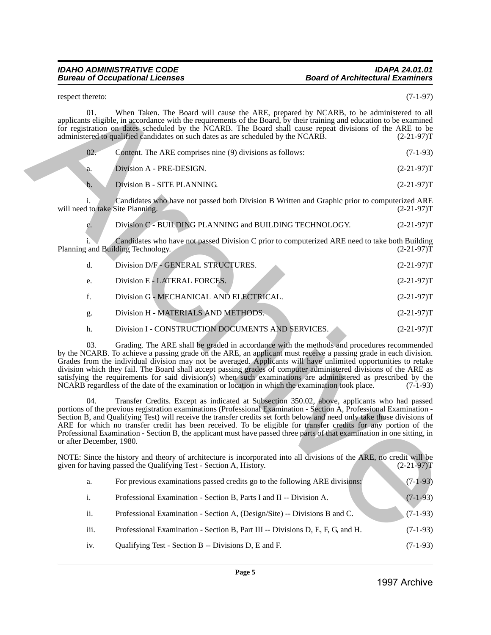### **Bureau of Occupational Licenses**

### *IDAHO ADMINISTRATIVE CODE IDAPA 24.01.01*

| $(2-21-97)T$  | Division B - SITE PLANNING.<br>$\mathbf{b}$ .<br>Candidates who have not passed both Division B Written and Graphic prior to computerized ARE                                                                                                                                                                                                                                                                                                                                                                                                                                                                                                                                     |
|---------------|-----------------------------------------------------------------------------------------------------------------------------------------------------------------------------------------------------------------------------------------------------------------------------------------------------------------------------------------------------------------------------------------------------------------------------------------------------------------------------------------------------------------------------------------------------------------------------------------------------------------------------------------------------------------------------------|
| $(2-21-97)T$  | 1.<br>will need to take Site Planning.                                                                                                                                                                                                                                                                                                                                                                                                                                                                                                                                                                                                                                            |
| $(2-21-97)T$  | Division C - BUILDING PLANNING and BUILDING TECHNOLOGY.<br>c.                                                                                                                                                                                                                                                                                                                                                                                                                                                                                                                                                                                                                     |
| $(2-21-97)T$  | Candidates who have not passed Division C prior to computerized ARE need to take both Building<br>Planning and Building Technology.                                                                                                                                                                                                                                                                                                                                                                                                                                                                                                                                               |
| $(2-21-97)T$  | Division D/F-GENERAL STRUCTURES.<br>d.                                                                                                                                                                                                                                                                                                                                                                                                                                                                                                                                                                                                                                            |
| $(2-21-97)T$  | Division E - LATERAL FORCES.<br>e.                                                                                                                                                                                                                                                                                                                                                                                                                                                                                                                                                                                                                                                |
| $(2-21-97)T$  | f.<br>Division G - MECHANICAL AND ELECTRICAL.                                                                                                                                                                                                                                                                                                                                                                                                                                                                                                                                                                                                                                     |
| $(2-21-97)T$  | Division H - MATERIALS AND METHODS.<br>g.                                                                                                                                                                                                                                                                                                                                                                                                                                                                                                                                                                                                                                         |
| $(2-21-97)T$  | h.<br>Division I - CONSTRUCTION DOCUMENTS AND SERVICES.                                                                                                                                                                                                                                                                                                                                                                                                                                                                                                                                                                                                                           |
| $(7-1-93)$    | 03.<br>Grading. The ARE shall be graded in accordance with the methods and procedures recommended<br>by the NCARB. To achieve a passing grade on the ARE, an applicant must receive a passing grade in each division.<br>Grades from the individual division may not be averaged. Applicants will have unlimited opportunities to retake<br>division which they fail. The Board shall accept passing grades of computer administered divisions of the ARE as<br>satisfying the requirements for said division(s) when such examinations are administered as prescribed by the<br>NCARB regardless of the date of the examination or location in which the examination took place. |
|               | 04.<br>Transfer Credits. Except as indicated at Subsection 350.02, above, applicants who had passed<br>portions of the previous registration examinations (Professional Examination - Section A, Professional Examination -<br>Section B, and Qualifying Test) will receive the transfer credits set forth below and need only take those divisions of<br>ARE for which no transfer credit has been received. To be eligible for transfer credits for any portion of the<br>Professional Examination - Section B, the applicant must have passed three parts of that examination in one sitting, in<br>or after December, 1980.                                                   |
| $(2-21-97)$ T | NOTE: Since the history and theory of architecture is incorporated into all divisions of the ARE, no credit will be<br>given for having passed the Qualifying Test - Section A, History.                                                                                                                                                                                                                                                                                                                                                                                                                                                                                          |
| $(7-1-93)$    | For previous examinations passed credits go to the following ARE divisions:<br>a.                                                                                                                                                                                                                                                                                                                                                                                                                                                                                                                                                                                                 |
| $(7-1-93)$    | i.<br>Professional Examination - Section B, Parts I and II -- Division A.                                                                                                                                                                                                                                                                                                                                                                                                                                                                                                                                                                                                         |
| $(7-1-93)$    | ii.<br>Professional Examination - Section A, (Design/Site) -- Divisions B and C.                                                                                                                                                                                                                                                                                                                                                                                                                                                                                                                                                                                                  |
| $(7-1-93)$    | iii.<br>Professional Examination - Section B, Part III -- Divisions D, E, F, G, and H.                                                                                                                                                                                                                                                                                                                                                                                                                                                                                                                                                                                            |
|               |                                                                                                                                                                                                                                                                                                                                                                                                                                                                                                                                                                                                                                                                                   |

| a.   | For previous examinations passed credits go to the following ARE divisions:    | $(7-1-93)$ |
|------|--------------------------------------------------------------------------------|------------|
| i.   | Professional Examination - Section B, Parts I and II -- Division A.            | $(7-1-93)$ |
| ii.  | Professional Examination - Section A, (Design/Site) -- Divisions B and C.      | $(7-1-93)$ |
| iii. | Professional Examination - Section B, Part III -- Divisions D, E, F, G, and H. | $(7-1-93)$ |
| iv.  | Qualifying Test - Section B -- Divisions D, E and F.                           | $(7-1-93)$ |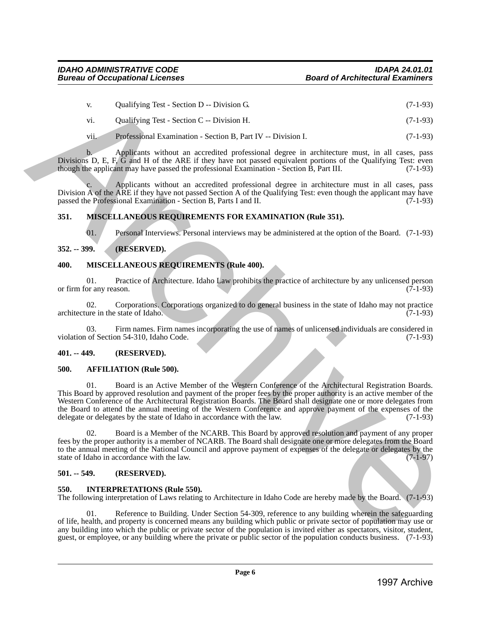| V.  | Qualifying Test - Section D -- Division G. | $(7-1-93)$ |
|-----|--------------------------------------------|------------|
| vi. | Qualifying Test - Section C -- Division H. | $(7-1-93)$ |

vii. Professional Examination - Section B, Part IV -- Division I. (7-1-93)

b. Applicants without an accredited professional degree in architecture must, in all cases, pass Divisions D, E, F,  $\tilde{G}$  and H of the ARE if they have not passed equivalent portions of the Qualifying Test: even though the applicant may have passed the professional Examination - Section B, Part III. (7-1-93)

Applicants without an accredited professional degree in architecture must in all cases, pass Division A of the ARE if they have not passed Section A of the Qualifying Test: even though the applicant may have passed the Professional Examination - Section B. Parts I and II. (7-1-93) passed the Professional Examination - Section B, Parts I and II.

### <span id="page-5-0"></span>**351. MISCELLANEOUS REQUIREMENTS FOR EXAMINATION (Rule 351).**

01. Personal Interviews. Personal interviews may be administered at the option of the Board. (7-1-93)

### <span id="page-5-1"></span>**352. -- 399. (RESERVED).**

### <span id="page-5-2"></span>**400. MISCELLANEOUS REQUIREMENTS (Rule 400).**

01. Practice of Architecture. Idaho Law prohibits the practice of architecture by any unlicensed person or firm for any reason. (7-1-93)

02. Corporations. Corporations organized to do general business in the state of Idaho may not practice architecture in the state of Idaho. (7-1-93)

03. Firm names. Firm names incorporating the use of names of unlicensed individuals are considered in violation of Section 54-310, Idaho Code. (7-1-93)

### <span id="page-5-3"></span>**401. -- 449. (RESERVED).**

### <span id="page-5-4"></span>**500. AFFILIATION (Rule 500).**

01. Board is an Active Member of the Western Conference of the Architectural Registration Boards. This Board by approved resolution and payment of the proper fees by the proper authority is an active member of the Western Conference of the Architectural Registration Boards. The Board shall designate one or more delegates from the Board to attend the annual meeting of the Western Conference and approve payment of the expenses of the delegate or delegates by the state of Idaho in accordance with the law. (7-1-93) delegate or delegates by the state of Idaho in accordance with the law. v. Qualifying Test - Society D. Division G. (7-1-95)<br>
v. Qualifying Test - Society D. Division L.<br>
1997 Archives Archives Archives Archives Archives Archives Archives Archives Archives Archives Archives Archives Archives

02. Board is a Member of the NCARB. This Board by approved resolution and payment of any proper fees by the proper authority is a member of NCARB. The Board shall designate one or more delegates from the Board to the annual meeting of the National Council and approve payment of expenses of the delegate or delegates by the state of Idaho in accordance with the law. state of Idaho in accordance with the law.

### <span id="page-5-5"></span>**501. -- 549. (RESERVED).**

### <span id="page-5-6"></span>**550. INTERPRETATIONS (Rule 550).**

The following interpretation of Laws relating to Architecture in Idaho Code are hereby made by the Board. (7-1-93)

01. Reference to Building. Under Section 54-309, reference to any building wherein the safeguarding of life, health, and property is concerned means any building which public or private sector of population may use or any building into which the public or private sector of the population is invited either as spectators, visitor, student, guest, or employee, or any building where the private or public sector of the population conducts business. (7-1-93)